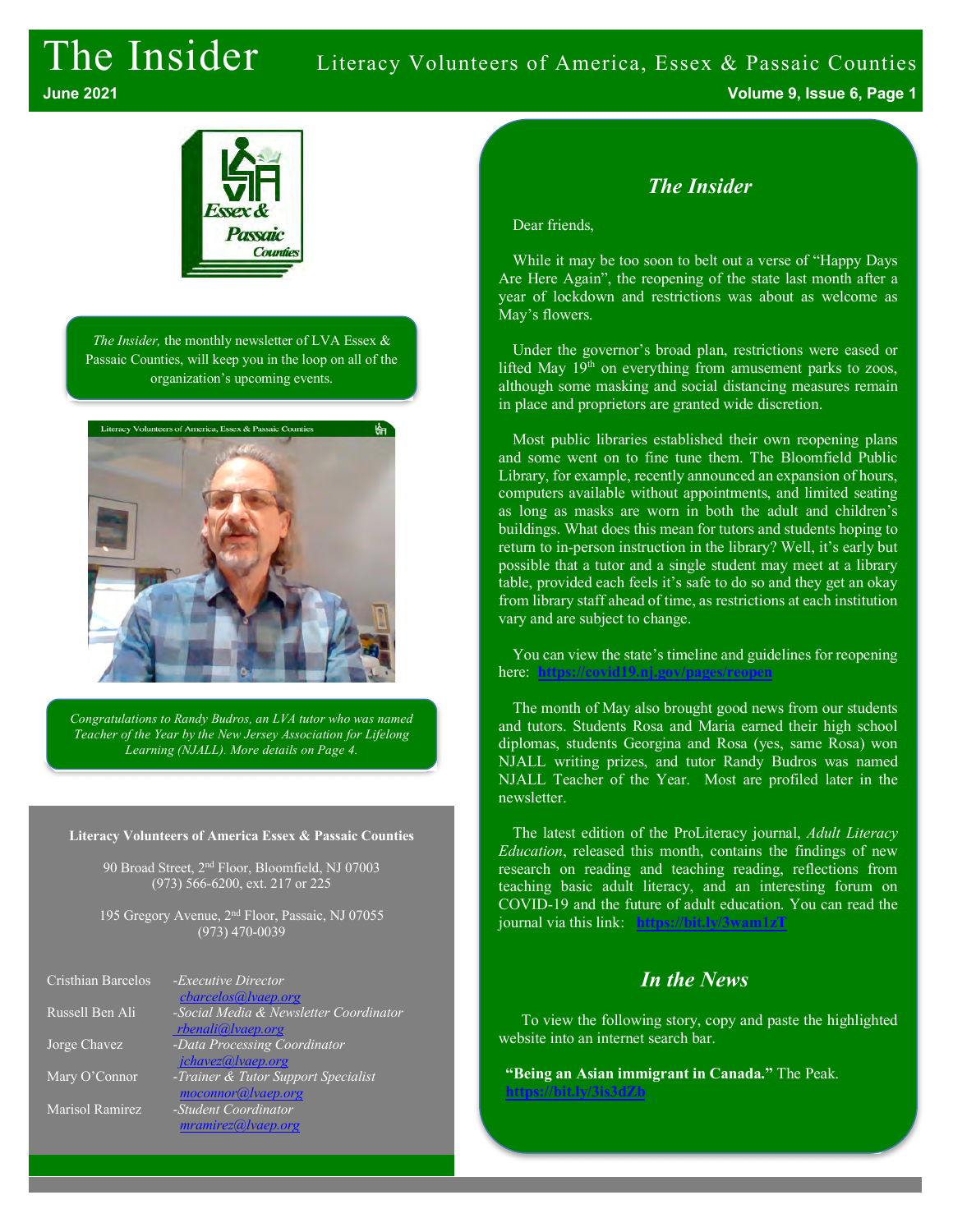# The Insider Literacy Volunteers of America, Essex & Passaic Counties



*The Insider,* the monthly newsletter of LVA Essex & Passaic Counties, will keep you in the loop on all of the organization's upcoming events.



*Congratulations to Randy Budros, an LVA tutor who was named Teacher of the Year by the New Jersey Association for Lifelong Learning (NJALL). More details on Page 4.*

#### **Literacy Volunteers of America Essex & Passaic Counties**

90 Broad Street, 2nd Floor, Bloomfield, NJ 07003 (973) 566-6200, ext. 217 or 225

195 Gregory Avenue, 2nd Floor, Passaic, NJ 07055 (973) 470-0039

| Cristhian Barcelos | - <i>Executive Director</i>            |
|--------------------|----------------------------------------|
|                    | cbarcelos@lvaep.org                    |
| Russell Ben Ali    | -Social Media & Newsletter Coordinator |
|                    | rbenali@lvaep.org                      |
| Jorge Chavez       | -Data Processing Coordinator           |
|                    | jchavez@lvaep.org                      |
| Mary O'Connor      | -Trainer & Tutor Support Specialist    |
|                    | moconnor@lvaep.org                     |
| Marisol Ramirez    | -Student Coordinator                   |
|                    | mramirez@ vaep.org                     |

## *The Insider*

Dear friends,

While it may be too soon to belt out a verse of "Happy Days Are Here Again", the reopening of the state last month after a year of lockdown and restrictions was about as welcome as May's flowers.

Under the governor's broad plan, restrictions were eased or lifted May  $19<sup>th</sup>$  on everything from amusement parks to zoos, although some masking and social distancing measures remain in place and proprietors are granted wide discretion.

Most public libraries established their own reopening plans and some went on to fine tune them. The Bloomfield Public Library, for example, recently announced an expansion of hours, computers available without appointments, and limited seating as long as masks are worn in both the adult and children's buildings. What does this mean for tutors and students hoping to return to in-person instruction in the library? Well, it's early but possible that a tutor and a single student may meet at a library table, provided each feels it's safe to do so and they get an okay from library staff ahead of time, as restrictions at each institution vary and are subject to change.

You can view the state's timeline and guidelines for reopening here: https://covid19.nj.gov/pages/reo

The month of May also brought good news from our students and tutors. Students Rosa and Maria earned their high school diplomas, students Georgina and Rosa (yes, same Rosa) won NJALL writing prizes, and tutor Randy Budros was named NJALL Teacher of the Year. Most are profiled later in the newsletter.

The latest edition of the ProLiteracy journal, *Adult Literacy Education*, released this month, contains the findings of new research on reading and teaching reading, reflections from teaching basic adult literacy, and an interesting forum on COVID-19 and the future of adult education. You can read the journal via this link: **https://bit.ly/3wam1zT**

## *In the News*

To view the following story, copy and paste the highlighted website into an internet search bar.

**"Being an Asian immigrant in Canada."** The Peak. **https://bit.ly/3is3dZb**

**June 2021 Volume 9, Issue 6, Page 1**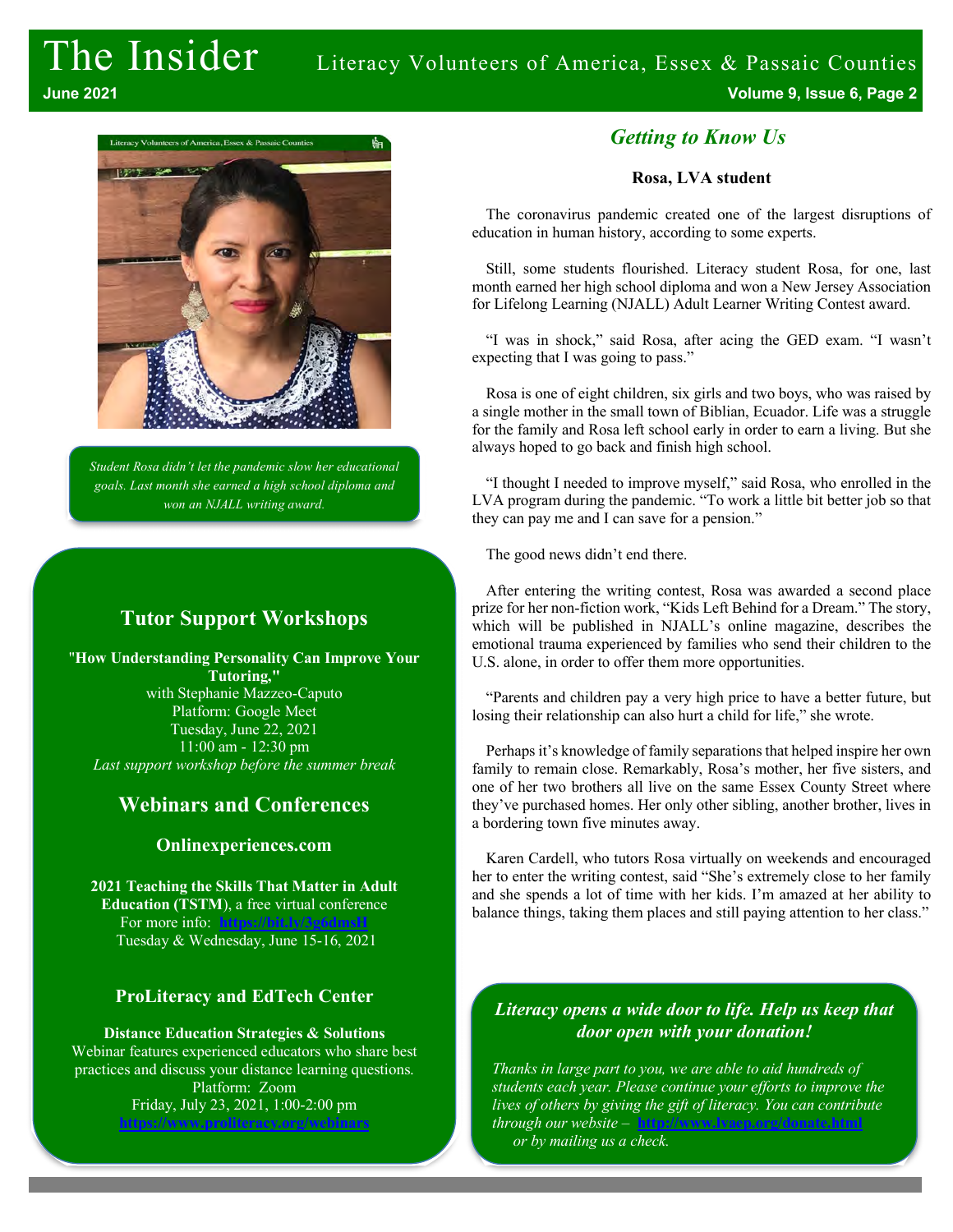

*Student Rosa didn't let the pandemic slow her educational goals. Last month she earned a high school diploma and won an NJALL writing award.*

## **Tutor Support Workshops**

"**How Understanding Personality Can Improve Your Tutoring,"** with Stephanie Mazzeo-Caputo Platform: Google Meet Tuesday, June 22, 2021 11:00 am - 12:30 pm *Last support workshop before the summer break*

## **Webinars and Conferences**

### **Onlinexperiences.com**

**2021 Teaching the Skills That Matter in Adult Education (TSTM**), a free virtual conference For more info: Tuesday & Wednesday, June 15-16, 2021

## **ProLiteracy and EdTech Center**

**Distance Education Strategies & Solutions** Webinar features experienced educators who share best practices and discuss your distance learning questions. Platform: Zoom Friday, July 23, 2021, 1:00-2:00 pm **https://www.proliteracy.org/webinars**

## *Getting to Know Us*

#### **Rosa, LVA student**

The coronavirus pandemic created one of the largest disruptions of education in human history, according to some experts.

Still, some students flourished. Literacy student Rosa, for one, last month earned her high school diploma and won a New Jersey Association for Lifelong Learning (NJALL) Adult Learner Writing Contest award.

"I was in shock," said Rosa, after acing the GED exam. "I wasn't expecting that I was going to pass."

Rosa is one of eight children, six girls and two boys, who was raised by a single mother in the small town of Biblian, Ecuador. Life was a struggle for the family and Rosa left school early in order to earn a living. But she always hoped to go back and finish high school.

"I thought I needed to improve myself," said Rosa, who enrolled in the LVA program during the pandemic. "To work a little bit better job so that they can pay me and I can save for a pension."

The good news didn't end there.

After entering the writing contest, Rosa was awarded a second place prize for her non-fiction work, "Kids Left Behind for a Dream." The story, which will be published in NJALL's online magazine, describes the emotional trauma experienced by families who send their children to the U.S. alone, in order to offer them more opportunities.

"Parents and children pay a very high price to have a better future, but losing their relationship can also hurt a child for life," she wrote.

Perhaps it's knowledge of family separations that helped inspire her own family to remain close. Remarkably, Rosa's mother, her five sisters, and one of her two brothers all live on the same Essex County Street where they've purchased homes. Her only other sibling, another brother, lives in a bordering town five minutes away.

Karen Cardell, who tutors Rosa virtually on weekends and encouraged her to enter the writing contest, said "She's extremely close to her family and she spends a lot of time with her kids. I'm amazed at her ability to balance things, taking them places and still paying attention to her class."

### *Literacy opens a wide door to life. Help us keep that door open with your donation!*

*Thanks in large part to you, we are able to aid hundreds of students each year. Please continue your efforts to improve the lives of others by giving the gift of literacy. You can contribute through our website* – **http://www.lvaep.org/donate.html** *or by mailing us a check.*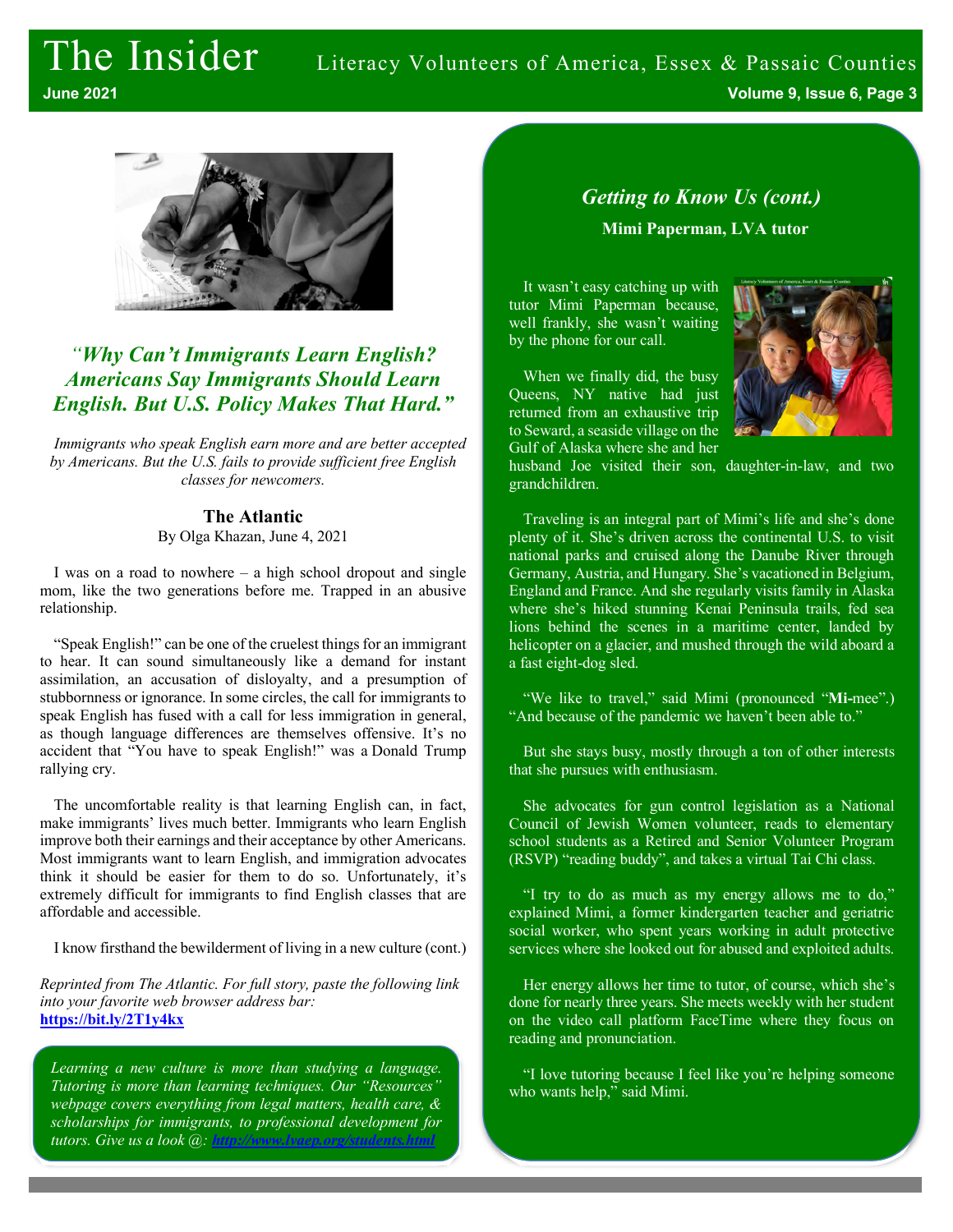## The Insider Literacy Volunteers of America, Essex & Passaic Counties

**June 2021 Volume 9, Issue 6, Page 3**



## *"Why Can't Immigrants Learn English? Americans Say Immigrants Should Learn English. But U.S. Policy Makes That Hard."*

*Immigrants who speak English earn more and are better accepted by Americans. But the U.S. fails to provide sufficient free English classes for newcomers.*

## **The Atlantic**

By Olga Khazan, June 4, 2021

I was on a road to nowhere – a high school dropout and single mom, like the two generations before me. Trapped in an abusive relationship.

"Speak English!" can be one of the cruelest things for an immigrant to hear. It can sound simultaneously like a demand for instant assimilation, an accusation of disloyalty, and a presumption of stubbornness or ignorance. In some circles, the call for immigrants to speak English has fused with a call for less immigration in general, as though language differences are themselves offensive. It's no accident that "You have to speak English!" was a Donald Trump rallying cry.

The uncomfortable reality is that learning English can, in fact, make immigrants' lives much better. Immigrants who learn English improve both their earnings and their acceptance by other Americans. Most immigrants want to learn English, and immigration advocates think it should be easier for them to do so. Unfortunately, it's extremely difficult for immigrants to find English classes that are affordable and accessible.

I know firsthand the bewilderment of living in a new culture (cont.)

*Reprinted from The Atlantic. For full story, paste the following link into your favorite web browser address bar:*  **https://bit.ly/2T1y4kx**

*Learning a new culture is more than studying a language. Tutoring is more than learning techniques. Our "Resources" webpage covers everything from legal matters, health care, & scholarships for immigrants, to professional development for tutors. Give us a look @: http://www.lvaep.org/students.html*

## *Getting to Know Us (cont.)* **Mimi Paperman, LVA tutor**

It wasn't easy catching up with tutor Mimi Paperman because, well frankly, she wasn't waiting by the phone for our call.

When we finally did, the busy Queens, NY native had just returned from an exhaustive trip to Seward, a seaside village on the Gulf of Alaska where she and her

grandchildren.



husband Joe visited their son, daughter-in-law, and two

Traveling is an integral part of Mimi's life and she's done plenty of it. She's driven across the continental U.S. to visit national parks and cruised along the Danube River through Germany, Austria, and Hungary. She's vacationed in Belgium, England and France. And she regularly visits family in Alaska where she's hiked stunning Kenai Peninsula trails, fed sea lions behind the scenes in a maritime center, landed by helicopter on a glacier, and mushed through the wild aboard a a fast eight-dog sled.

"We like to travel," said Mimi (pronounced "**Mi-**mee".) "And because of the pandemic we haven't been able to."

But she stays busy, mostly through a ton of other interests that she pursues with enthusiasm.

She advocates for gun control legislation as a National Council of Jewish Women volunteer, reads to elementary school students as a Retired and Senior Volunteer Program (RSVP) "reading buddy", and takes a virtual Tai Chi class.

"I try to do as much as my energy allows me to do," explained Mimi, a former kindergarten teacher and geriatric social worker, who spent years working in adult protective services where she looked out for abused and exploited adults.

Her energy allows her time to tutor, of course, which she's done for nearly three years. She meets weekly with her student on the video call platform FaceTime where they focus on reading and pronunciation.

"I love tutoring because I feel like you're helping someone who wants help," said Mimi.